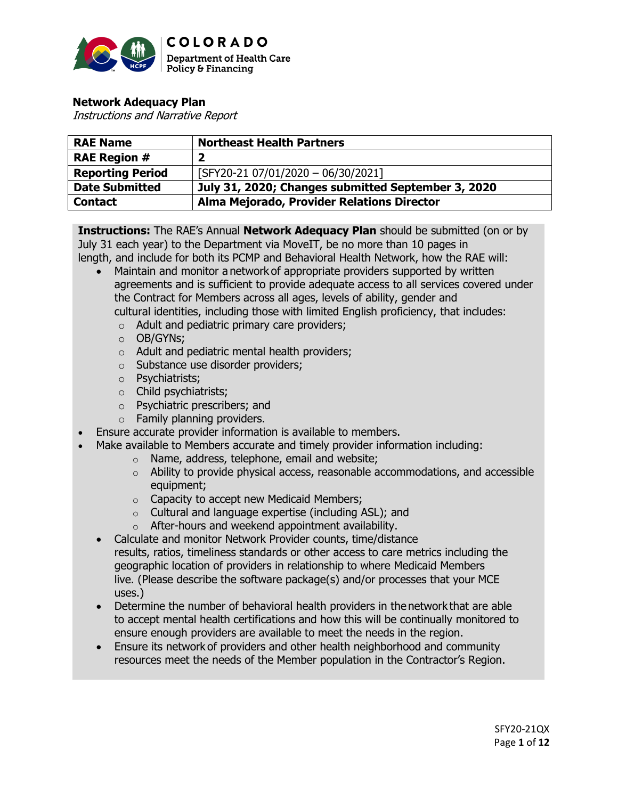

# **Network Adequacy Plan**

Instructions and Narrative Report

| <b>RAE Name</b>         | <b>Northeast Health Partners</b>                   |
|-------------------------|----------------------------------------------------|
| <b>RAE Region #</b>     |                                                    |
| <b>Reporting Period</b> | [SFY20-21 07/01/2020 - 06/30/2021]                 |
| <b>Date Submitted</b>   | July 31, 2020; Changes submitted September 3, 2020 |
| <b>Contact</b>          | Alma Mejorado, Provider Relations Director         |

**Instructions:** The RAE's Annual **Network Adequacy Plan** should be submitted (on or by July 31 each year) to the Department via MoveIT, be no more than 10 pages in length, and include for both its PCMP and Behavioral Health Network, how the RAE will:

- Maintain and monitor a network of appropriate providers supported by written agreements and is sufficient to provide adequate access to all services covered under the Contract for Members across all ages, levels of ability, gender and cultural identities, including those with limited English proficiency, that includes:
	- o Adult and pediatric primary care providers;
	- o OB/GYNs;
	- o Adult and pediatric mental health providers;
	- o Substance use disorder providers;
	- o Psychiatrists;
	- o Child psychiatrists;
	- o Psychiatric prescribers; and
	- o Family planning providers.
- Ensure accurate provider information is available to members.
- Make available to Members accurate and timely provider information including:
	- o Name, address, telephone, email and website;
		- $\circ$  Ability to provide physical access, reasonable accommodations, and accessible equipment;
		- o Capacity to accept new Medicaid Members;
		- o Cultural and language expertise (including ASL); and
	- o After-hours and weekend appointment availability.
	- Calculate and monitor Network Provider counts, time/distance results, ratios, timeliness standards or other access to care metrics including the geographic location of providers in relationship to where Medicaid Members live. (Please describe the software package(s) and/or processes that your MCE uses.)
	- Determine the number of behavioral health providers in the network that are able to accept mental health certifications and how this will be continually monitored to ensure enough providers are available to meet the needs in the region.
	- Ensure its network of providers and other health neighborhood and community resources meet the needs of the Member population in the Contractor's Region.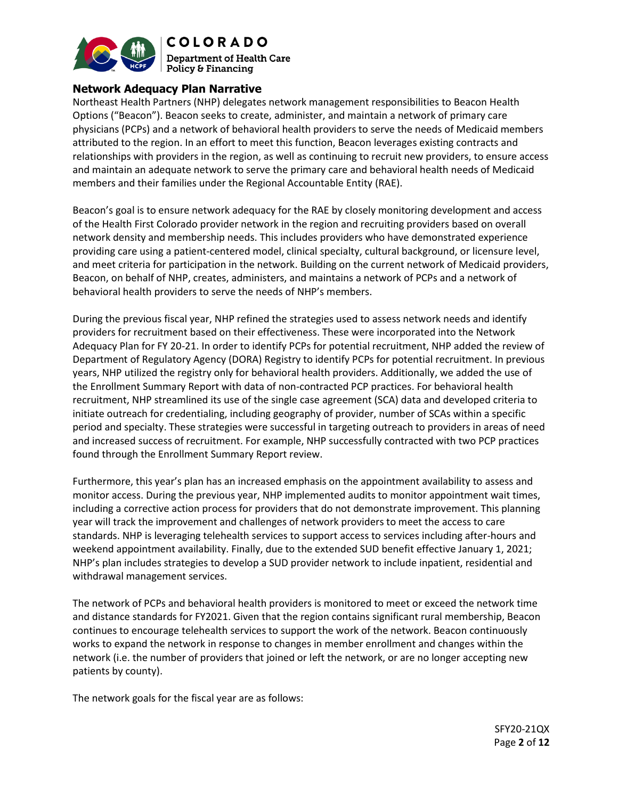

**COLORADO Department of Health Care** Policy & Financing

## **Network Adequacy Plan Narrative**

Northeast Health Partners (NHP) delegates network management responsibilities to Beacon Health Options ("Beacon"). Beacon seeks to create, administer, and maintain a network of primary care physicians (PCPs) and a network of behavioral health providers to serve the needs of Medicaid members attributed to the region. In an effort to meet this function, Beacon leverages existing contracts and relationships with providers in the region, as well as continuing to recruit new providers, to ensure access and maintain an adequate network to serve the primary care and behavioral health needs of Medicaid members and their families under the Regional Accountable Entity (RAE).

Beacon's goal is to ensure network adequacy for the RAE by closely monitoring development and access of the Health First Colorado provider network in the region and recruiting providers based on overall network density and membership needs. This includes providers who have demonstrated experience providing care using a patient-centered model, clinical specialty, cultural background, or licensure level, and meet criteria for participation in the network. Building on the current network of Medicaid providers, Beacon, on behalf of NHP, creates, administers, and maintains a network of PCPs and a network of behavioral health providers to serve the needs of NHP's members.

During the previous fiscal year, NHP refined the strategies used to assess network needs and identify providers for recruitment based on their effectiveness. These were incorporated into the Network Adequacy Plan for FY 20-21. In order to identify PCPs for potential recruitment, NHP added the review of Department of Regulatory Agency (DORA) Registry to identify PCPs for potential recruitment. In previous years, NHP utilized the registry only for behavioral health providers. Additionally, we added the use of the Enrollment Summary Report with data of non-contracted PCP practices. For behavioral health recruitment, NHP streamlined its use of the single case agreement (SCA) data and developed criteria to initiate outreach for credentialing, including geography of provider, number of SCAs within a specific period and specialty. These strategies were successful in targeting outreach to providers in areas of need and increased success of recruitment. For example, NHP successfully contracted with two PCP practices found through the Enrollment Summary Report review.

Furthermore, this year's plan has an increased emphasis on the appointment availability to assess and monitor access. During the previous year, NHP implemented audits to monitor appointment wait times, including a corrective action process for providers that do not demonstrate improvement. This planning year will track the improvement and challenges of network providers to meet the access to care standards. NHP is leveraging telehealth services to support access to services including after-hours and weekend appointment availability. Finally, due to the extended SUD benefit effective January 1, 2021; NHP's plan includes strategies to develop a SUD provider network to include inpatient, residential and withdrawal management services.

The network of PCPs and behavioral health providers is monitored to meet or exceed the network time and distance standards for FY2021. Given that the region contains significant rural membership, Beacon continues to encourage telehealth services to support the work of the network. Beacon continuously works to expand the network in response to changes in member enrollment and changes within the network (i.e. the number of providers that joined or left the network, or are no longer accepting new patients by county).

The network goals for the fiscal year are as follows: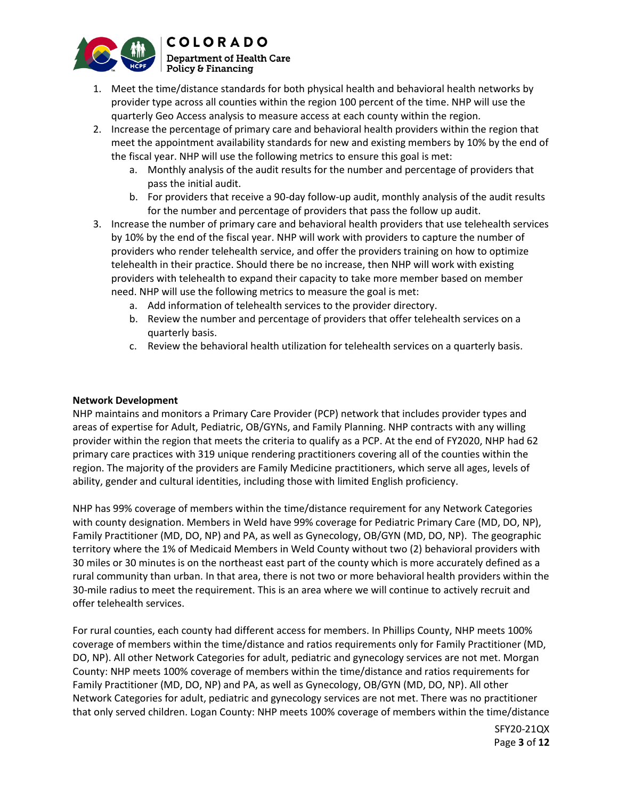

- 1. Meet the time/distance standards for both physical health and behavioral health networks by provider type across all counties within the region 100 percent of the time. NHP will use the quarterly Geo Access analysis to measure access at each county within the region.
- 2. Increase the percentage of primary care and behavioral health providers within the region that meet the appointment availability standards for new and existing members by 10% by the end of the fiscal year. NHP will use the following metrics to ensure this goal is met:
	- a. Monthly analysis of the audit results for the number and percentage of providers that pass the initial audit.
	- b. For providers that receive a 90-day follow-up audit, monthly analysis of the audit results for the number and percentage of providers that pass the follow up audit.
- 3. Increase the number of primary care and behavioral health providers that use telehealth services by 10% by the end of the fiscal year. NHP will work with providers to capture the number of providers who render telehealth service, and offer the providers training on how to optimize telehealth in their practice. Should there be no increase, then NHP will work with existing providers with telehealth to expand their capacity to take more member based on member need. NHP will use the following metrics to measure the goal is met:
	- a. Add information of telehealth services to the provider directory.
	- b. Review the number and percentage of providers that offer telehealth services on a quarterly basis.
	- c. Review the behavioral health utilization for telehealth services on a quarterly basis.

## **Network Development**

NHP maintains and monitors a Primary Care Provider (PCP) network that includes provider types and areas of expertise for Adult, Pediatric, OB/GYNs, and Family Planning. NHP contracts with any willing provider within the region that meets the criteria to qualify as a PCP. At the end of FY2020, NHP had 62 primary care practices with 319 unique rendering practitioners covering all of the counties within the region. The majority of the providers are Family Medicine practitioners, which serve all ages, levels of ability, gender and cultural identities, including those with limited English proficiency.

NHP has 99% coverage of members within the time/distance requirement for any Network Categories with county designation. Members in Weld have 99% coverage for Pediatric Primary Care (MD, DO, NP), Family Practitioner (MD, DO, NP) and PA, as well as Gynecology, OB/GYN (MD, DO, NP). The geographic territory where the 1% of Medicaid Members in Weld County without two (2) behavioral providers with 30 miles or 30 minutes is on the northeast east part of the county which is more accurately defined as a rural community than urban. In that area, there is not two or more behavioral health providers within the 30-mile radius to meet the requirement. This is an area where we will continue to actively recruit and offer telehealth services.

For rural counties, each county had different access for members. In Phillips County, NHP meets 100% coverage of members within the time/distance and ratios requirements only for Family Practitioner (MD, DO, NP). All other Network Categories for adult, pediatric and gynecology services are not met. Morgan County: NHP meets 100% coverage of members within the time/distance and ratios requirements for Family Practitioner (MD, DO, NP) and PA, as well as Gynecology, OB/GYN (MD, DO, NP). All other Network Categories for adult, pediatric and gynecology services are not met. There was no practitioner that only served children. Logan County: NHP meets 100% coverage of members within the time/distance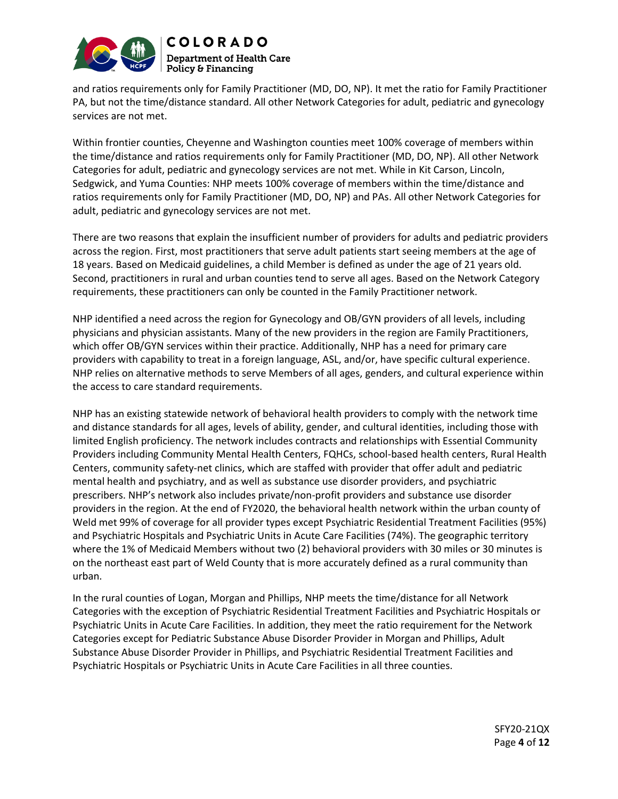



and ratios requirements only for Family Practitioner (MD, DO, NP). It met the ratio for Family Practitioner PA, but not the time/distance standard. All other Network Categories for adult, pediatric and gynecology services are not met.

Within frontier counties, Cheyenne and Washington counties meet 100% coverage of members within the time/distance and ratios requirements only for Family Practitioner (MD, DO, NP). All other Network Categories for adult, pediatric and gynecology services are not met. While in Kit Carson, Lincoln, Sedgwick, and Yuma Counties: NHP meets 100% coverage of members within the time/distance and ratios requirements only for Family Practitioner (MD, DO, NP) and PAs. All other Network Categories for adult, pediatric and gynecology services are not met.

There are two reasons that explain the insufficient number of providers for adults and pediatric providers across the region. First, most practitioners that serve adult patients start seeing members at the age of 18 years. Based on Medicaid guidelines, a child Member is defined as under the age of 21 years old. Second, practitioners in rural and urban counties tend to serve all ages. Based on the Network Category requirements, these practitioners can only be counted in the Family Practitioner network.

NHP identified a need across the region for Gynecology and OB/GYN providers of all levels, including physicians and physician assistants. Many of the new providers in the region are Family Practitioners, which offer OB/GYN services within their practice. Additionally, NHP has a need for primary care providers with capability to treat in a foreign language, ASL, and/or, have specific cultural experience. NHP relies on alternative methods to serve Members of all ages, genders, and cultural experience within the access to care standard requirements.

NHP has an existing statewide network of behavioral health providers to comply with the network time and distance standards for all ages, levels of ability, gender, and cultural identities, including those with limited English proficiency. The network includes contracts and relationships with Essential Community Providers including Community Mental Health Centers, FQHCs, school-based health centers, Rural Health Centers, community safety-net clinics, which are staffed with provider that offer adult and pediatric mental health and psychiatry, and as well as substance use disorder providers, and psychiatric prescribers. NHP's network also includes private/non-profit providers and substance use disorder providers in the region. At the end of FY2020, the behavioral health network within the urban county of Weld met 99% of coverage for all provider types except Psychiatric Residential Treatment Facilities (95%) and Psychiatric Hospitals and Psychiatric Units in Acute Care Facilities (74%). The geographic territory where the 1% of Medicaid Members without two (2) behavioral providers with 30 miles or 30 minutes is on the northeast east part of Weld County that is more accurately defined as a rural community than urban.

In the rural counties of Logan, Morgan and Phillips, NHP meets the time/distance for all Network Categories with the exception of Psychiatric Residential Treatment Facilities and Psychiatric Hospitals or Psychiatric Units in Acute Care Facilities. In addition, they meet the ratio requirement for the Network Categories except for Pediatric Substance Abuse Disorder Provider in Morgan and Phillips, Adult Substance Abuse Disorder Provider in Phillips, and Psychiatric Residential Treatment Facilities and Psychiatric Hospitals or Psychiatric Units in Acute Care Facilities in all three counties.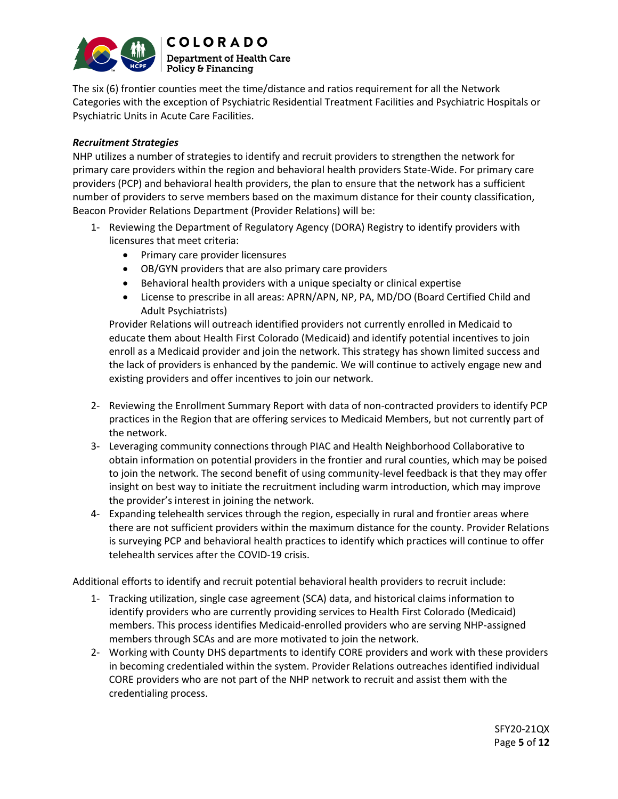

**COLORADO Department of Health Care**  $\mid$  Policy & Financing

The six (6) frontier counties meet the time/distance and ratios requirement for all the Network Categories with the exception of Psychiatric Residential Treatment Facilities and Psychiatric Hospitals or Psychiatric Units in Acute Care Facilities.

## *Recruitment Strategies*

NHP utilizes a number of strategies to identify and recruit providers to strengthen the network for primary care providers within the region and behavioral health providers State-Wide. For primary care providers (PCP) and behavioral health providers, the plan to ensure that the network has a sufficient number of providers to serve members based on the maximum distance for their county classification, Beacon Provider Relations Department (Provider Relations) will be:

- 1- Reviewing the Department of Regulatory Agency (DORA) Registry to identify providers with licensures that meet criteria:
	- Primary care provider licensures
	- OB/GYN providers that are also primary care providers
	- Behavioral health providers with a unique specialty or clinical expertise
	- License to prescribe in all areas: APRN/APN, NP, PA, MD/DO (Board Certified Child and Adult Psychiatrists)

Provider Relations will outreach identified providers not currently enrolled in Medicaid to educate them about Health First Colorado (Medicaid) and identify potential incentives to join enroll as a Medicaid provider and join the network. This strategy has shown limited success and the lack of providers is enhanced by the pandemic. We will continue to actively engage new and existing providers and offer incentives to join our network.

- 2- Reviewing the Enrollment Summary Report with data of non-contracted providers to identify PCP practices in the Region that are offering services to Medicaid Members, but not currently part of the network.
- 3- Leveraging community connections through PIAC and Health Neighborhood Collaborative to obtain information on potential providers in the frontier and rural counties, which may be poised to join the network. The second benefit of using community-level feedback is that they may offer insight on best way to initiate the recruitment including warm introduction, which may improve the provider's interest in joining the network.
- 4- Expanding telehealth services through the region, especially in rural and frontier areas where there are not sufficient providers within the maximum distance for the county. Provider Relations is surveying PCP and behavioral health practices to identify which practices will continue to offer telehealth services after the COVID-19 crisis.

Additional efforts to identify and recruit potential behavioral health providers to recruit include:

- 1- Tracking utilization, single case agreement (SCA) data, and historical claims information to identify providers who are currently providing services to Health First Colorado (Medicaid) members. This process identifies Medicaid-enrolled providers who are serving NHP-assigned members through SCAs and are more motivated to join the network.
- 2- Working with County DHS departments to identify CORE providers and work with these providers in becoming credentialed within the system. Provider Relations outreaches identified individual CORE providers who are not part of the NHP network to recruit and assist them with the credentialing process.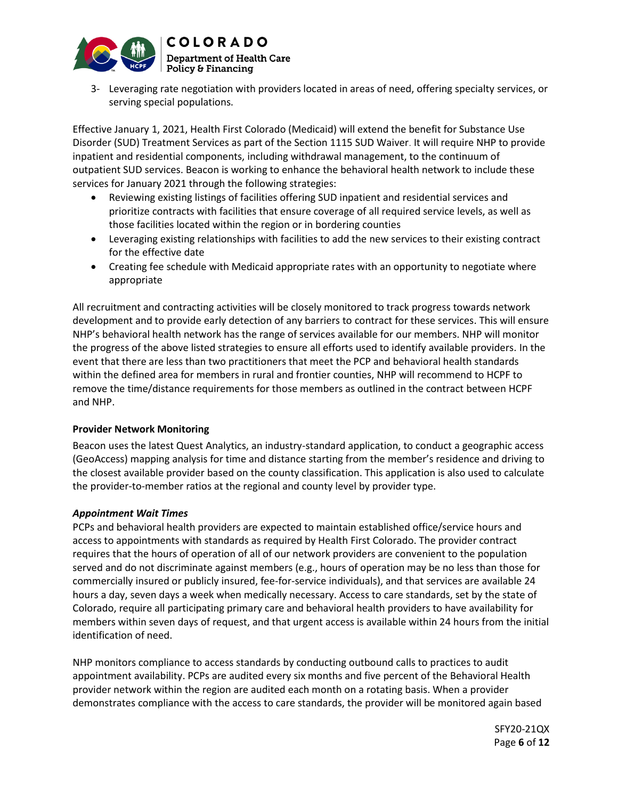

3- Leveraging rate negotiation with providers located in areas of need, offering specialty services, or serving special populations.

Effective January 1, 2021, Health First Colorado (Medicaid) will extend the benefit for Substance Use Disorder (SUD) Treatment Services as part of the Section 1115 SUD Waiver. It will require NHP to provide inpatient and residential components, including withdrawal management, to the continuum of outpatient SUD services. Beacon is working to enhance the behavioral health network to include these services for January 2021 through the following strategies:

- Reviewing existing listings of facilities offering SUD inpatient and residential services and prioritize contracts with facilities that ensure coverage of all required service levels, as well as those facilities located within the region or in bordering counties
- Leveraging existing relationships with facilities to add the new services to their existing contract for the effective date
- Creating fee schedule with Medicaid appropriate rates with an opportunity to negotiate where appropriate

All recruitment and contracting activities will be closely monitored to track progress towards network development and to provide early detection of any barriers to contract for these services. This will ensure NHP's behavioral health network has the range of services available for our members. NHP will monitor the progress of the above listed strategies to ensure all efforts used to identify available providers. In the event that there are less than two practitioners that meet the PCP and behavioral health standards within the defined area for members in rural and frontier counties, NHP will recommend to HCPF to remove the time/distance requirements for those members as outlined in the contract between HCPF and NHP.

## **Provider Network Monitoring**

Beacon uses the latest Quest Analytics, an industry-standard application, to conduct a geographic access (GeoAccess) mapping analysis for time and distance starting from the member's residence and driving to the closest available provider based on the county classification. This application is also used to calculate the provider-to-member ratios at the regional and county level by provider type.

## *Appointment Wait Times*

PCPs and behavioral health providers are expected to maintain established office/service hours and access to appointments with standards as required by Health First Colorado. The provider contract requires that the hours of operation of all of our network providers are convenient to the population served and do not discriminate against members (e.g., hours of operation may be no less than those for commercially insured or publicly insured, fee-for-service individuals), and that services are available 24 hours a day, seven days a week when medically necessary. Access to care standards, set by the state of Colorado, require all participating primary care and behavioral health providers to have availability for members within seven days of request, and that urgent access is available within 24 hours from the initial identification of need.

NHP monitors compliance to access standards by conducting outbound calls to practices to audit appointment availability. PCPs are audited every six months and five percent of the Behavioral Health provider network within the region are audited each month on a rotating basis. When a provider demonstrates compliance with the access to care standards, the provider will be monitored again based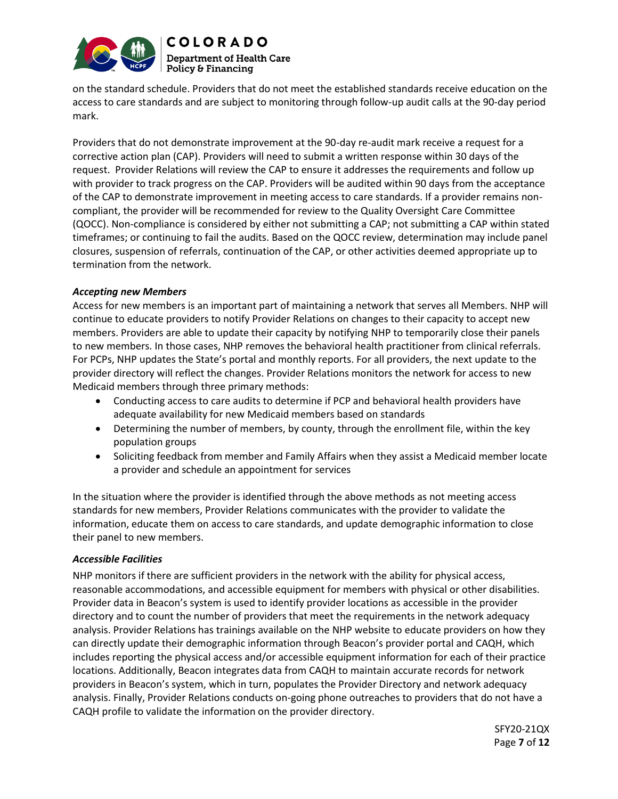

**COLORADO Department of Health Care** Policy & Financing

on the standard schedule. Providers that do not meet the established standards receive education on the access to care standards and are subject to monitoring through follow-up audit calls at the 90-day period mark.

Providers that do not demonstrate improvement at the 90-day re-audit mark receive a request for a corrective action plan (CAP). Providers will need to submit a written response within 30 days of the request. Provider Relations will review the CAP to ensure it addresses the requirements and follow up with provider to track progress on the CAP. Providers will be audited within 90 days from the acceptance of the CAP to demonstrate improvement in meeting access to care standards. If a provider remains noncompliant, the provider will be recommended for review to the Quality Oversight Care Committee (QOCC). Non-compliance is considered by either not submitting a CAP; not submitting a CAP within stated timeframes; or continuing to fail the audits. Based on the QOCC review, determination may include panel closures, suspension of referrals, continuation of the CAP, or other activities deemed appropriate up to termination from the network.

## *Accepting new Members*

Access for new members is an important part of maintaining a network that serves all Members. NHP will continue to educate providers to notify Provider Relations on changes to their capacity to accept new members. Providers are able to update their capacity by notifying NHP to temporarily close their panels to new members. In those cases, NHP removes the behavioral health practitioner from clinical referrals. For PCPs, NHP updates the State's portal and monthly reports. For all providers, the next update to the provider directory will reflect the changes. Provider Relations monitors the network for access to new Medicaid members through three primary methods:

- Conducting access to care audits to determine if PCP and behavioral health providers have adequate availability for new Medicaid members based on standards
- Determining the number of members, by county, through the enrollment file, within the key population groups
- Soliciting feedback from member and Family Affairs when they assist a Medicaid member locate a provider and schedule an appointment for services

In the situation where the provider is identified through the above methods as not meeting access standards for new members, Provider Relations communicates with the provider to validate the information, educate them on access to care standards, and update demographic information to close their panel to new members.

## *Accessible Facilities*

NHP monitors if there are sufficient providers in the network with the ability for physical access, reasonable accommodations, and accessible equipment for members with physical or other disabilities. Provider data in Beacon's system is used to identify provider locations as accessible in the provider directory and to count the number of providers that meet the requirements in the network adequacy analysis. Provider Relations has trainings available on the NHP website to educate providers on how they can directly update their demographic information through Beacon's provider portal and CAQH, which includes reporting the physical access and/or accessible equipment information for each of their practice locations. Additionally, Beacon integrates data from CAQH to maintain accurate records for network providers in Beacon's system, which in turn, populates the Provider Directory and network adequacy analysis. Finally, Provider Relations conducts on-going phone outreaches to providers that do not have a CAQH profile to validate the information on the provider directory.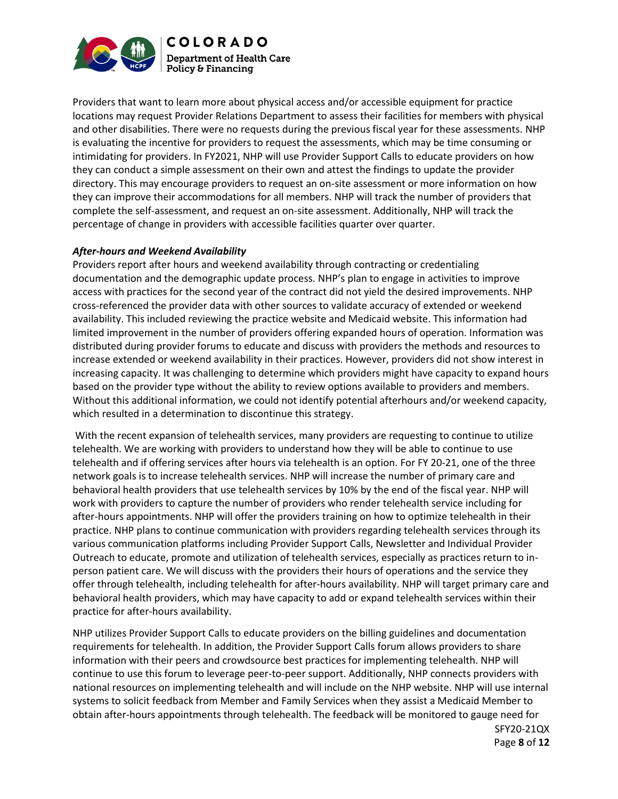

Providers that want to learn more about physical access and/or accessible equipment for practice locations may request Provider Relations Department to assess their facilities for members with physical and other disabilities. There were no requests during the previous fiscal year for these assessments. NHP is evaluating the incentive for providers to request the assessments, which may be time consuming or intimidating for providers. In FY2021, NHP will use Provider Support Calls to educate providers on how they can conduct a simple assessment on their own and attest the findings to update the provider directory. This may encourage providers to request an on-site assessment or more information on how they can improve their accommodations for all members. NHP will track the number of providers that complete the self-assessment, and request an on-site assessment. Additionally, NHP will track the percentage of change in providers with accessible facilities quarter over quarter.

#### *After-hours and Weekend Availability*

Providers report after hours and weekend availability through contracting or credentialing documentation and the demographic update process. NHP's plan to engage in activities to improve access with practices for the second year of the contract did not yield the desired improvements. NHP cross-referenced the provider data with other sources to validate accuracy of extended or weekend availability. This included reviewing the practice website and Medicaid website. This information had limited improvement in the number of providers offering expanded hours of operation. Information was distributed during provider forums to educate and discuss with providers the methods and resources to increase extended or weekend availability in their practices. However, providers did not show interest in increasing capacity. It was challenging to determine which providers might have capacity to expand hours based on the provider type without the ability to review options available to providers and members. Without this additional information, we could not identify potential afterhours and/or weekend capacity, which resulted in a determination to discontinue this strategy.

With the recent expansion of telehealth services, many providers are requesting to continue to utilize telehealth. We are working with providers to understand how they will be able to continue to use telehealth and if offering services after hours via telehealth is an option. For FY 20-21, one of the three network goals is to increase telehealth services. NHP will increase the number of primary care and behavioral health providers that use telehealth services by 10% by the end of the fiscal year. NHP will work with providers to capture the number of providers who render telehealth service including for after-hours appointments. NHP will offer the providers training on how to optimize telehealth in their practice. NHP plans to continue communication with providers regarding telehealth services through its various communication platforms including Provider Support Calls, Newsletter and Individual Provider Outreach to educate, promote and utilization of telehealth services, especially as practices return to inperson patient care. We will discuss with the providers their hours of operations and the service they offer through telehealth, including telehealth for after-hours availability. NHP will target primary care and behavioral health providers, which may have capacity to add or expand telehealth services within their practice for after-hours availability.

NHP utilizes Provider Support Calls to educate providers on the billing guidelines and documentation requirements for telehealth. In addition, the Provider Support Calls forum allows providers to share information with their peers and crowdsource best practices for implementing telehealth. NHP will continue to use this forum to leverage peer-to-peer support. Additionally, NHP connects providers with national resources on implementing telehealth and will include on the NHP website. NHP will use internal systems to solicit feedback from Member and Family Services when they assist a Medicaid Member to obtain after-hours appointments through telehealth. The feedback will be monitored to gauge need for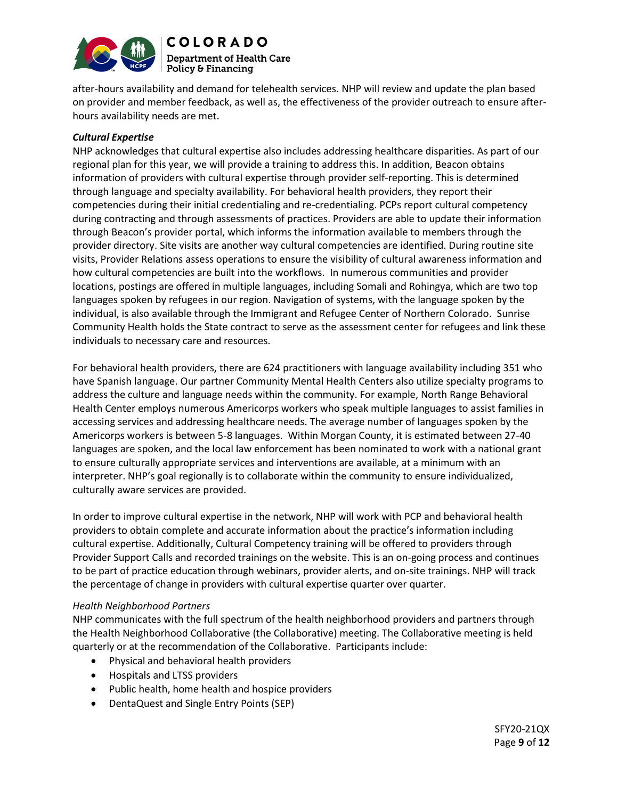

**COLORADO Department of Health Care**  $\mid$  Policy & Financing

after-hours availability and demand for telehealth services. NHP will review and update the plan based on provider and member feedback, as well as, the effectiveness of the provider outreach to ensure afterhours availability needs are met.

## *Cultural Expertise*

NHP acknowledges that cultural expertise also includes addressing healthcare disparities. As part of our regional plan for this year, we will provide a training to address this. In addition, Beacon obtains information of providers with cultural expertise through provider self-reporting. This is determined through language and specialty availability. For behavioral health providers, they report their competencies during their initial credentialing and re-credentialing. PCPs report cultural competency during contracting and through assessments of practices. Providers are able to update their information through Beacon's provider portal, which informs the information available to members through the provider directory. Site visits are another way cultural competencies are identified. During routine site visits, Provider Relations assess operations to ensure the visibility of cultural awareness information and how cultural competencies are built into the workflows. In numerous communities and provider locations, postings are offered in multiple languages, including Somali and Rohingya, which are two top languages spoken by refugees in our region. Navigation of systems, with the language spoken by the individual, is also available through the Immigrant and Refugee Center of Northern Colorado. Sunrise Community Health holds the State contract to serve as the assessment center for refugees and link these individuals to necessary care and resources.

For behavioral health providers, there are 624 practitioners with language availability including 351 who have Spanish language. Our partner Community Mental Health Centers also utilize specialty programs to address the culture and language needs within the community. For example, North Range Behavioral Health Center employs numerous Americorps workers who speak multiple languages to assist families in accessing services and addressing healthcare needs. The average number of languages spoken by the Americorps workers is between 5-8 languages. Within Morgan County, it is estimated between 27-40 languages are spoken, and the local law enforcement has been nominated to work with a national grant to ensure culturally appropriate services and interventions are available, at a minimum with an interpreter. NHP's goal regionally is to collaborate within the community to ensure individualized, culturally aware services are provided.

In order to improve cultural expertise in the network, NHP will work with PCP and behavioral health providers to obtain complete and accurate information about the practice's information including cultural expertise. Additionally, Cultural Competency training will be offered to providers through Provider Support Calls and recorded trainings on the website. This is an on-going process and continues to be part of practice education through webinars, provider alerts, and on-site trainings. NHP will track the percentage of change in providers with cultural expertise quarter over quarter.

## *Health Neighborhood Partners*

NHP communicates with the full spectrum of the health neighborhood providers and partners through the Health Neighborhood Collaborative (the Collaborative) meeting. The Collaborative meeting is held quarterly or at the recommendation of the Collaborative. Participants include:

- Physical and behavioral health providers
- Hospitals and LTSS providers
- Public health, home health and hospice providers
- DentaQuest and Single Entry Points (SEP)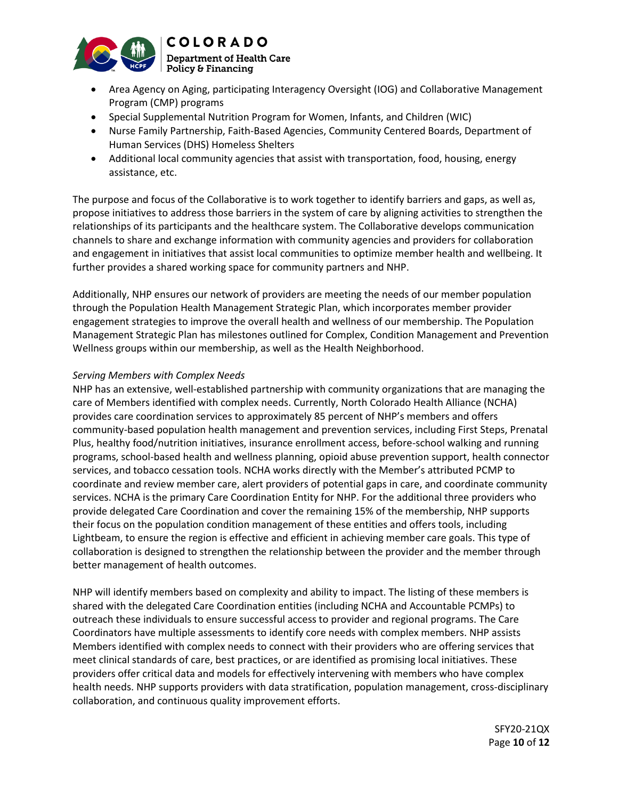

• Area Agency on Aging, participating Interagency Oversight (IOG) and Collaborative Management Program (CMP) programs

- Special Supplemental Nutrition Program for Women, Infants, and Children (WIC)
- Nurse Family Partnership, Faith-Based Agencies, Community Centered Boards, Department of Human Services (DHS) Homeless Shelters
- Additional local community agencies that assist with transportation, food, housing, energy assistance, etc.

The purpose and focus of the Collaborative is to work together to identify barriers and gaps, as well as, propose initiatives to address those barriers in the system of care by aligning activities to strengthen the relationships of its participants and the healthcare system. The Collaborative develops communication channels to share and exchange information with community agencies and providers for collaboration and engagement in initiatives that assist local communities to optimize member health and wellbeing. It further provides a shared working space for community partners and NHP.

Additionally, NHP ensures our network of providers are meeting the needs of our member population through the Population Health Management Strategic Plan, which incorporates member provider engagement strategies to improve the overall health and wellness of our membership. The Population Management Strategic Plan has milestones outlined for Complex, Condition Management and Prevention Wellness groups within our membership, as well as the Health Neighborhood.

## *Serving Members with Complex Needs*

NHP has an extensive, well-established partnership with community organizations that are managing the care of Members identified with complex needs. Currently, North Colorado Health Alliance (NCHA) provides care coordination services to approximately 85 percent of NHP's members and offers community-based population health management and prevention services, including First Steps, Prenatal Plus, healthy food/nutrition initiatives, insurance enrollment access, before-school walking and running programs, school-based health and wellness planning, opioid abuse prevention support, health connector services, and tobacco cessation tools. NCHA works directly with the Member's attributed PCMP to coordinate and review member care, alert providers of potential gaps in care, and coordinate community services. NCHA is the primary Care Coordination Entity for NHP. For the additional three providers who provide delegated Care Coordination and cover the remaining 15% of the membership, NHP supports their focus on the population condition management of these entities and offers tools, including Lightbeam, to ensure the region is effective and efficient in achieving member care goals. This type of collaboration is designed to strengthen the relationship between the provider and the member through better management of health outcomes.

NHP will identify members based on complexity and ability to impact. The listing of these members is shared with the delegated Care Coordination entities (including NCHA and Accountable PCMPs) to outreach these individuals to ensure successful access to provider and regional programs. The Care Coordinators have multiple assessments to identify core needs with complex members. NHP assists Members identified with complex needs to connect with their providers who are offering services that meet clinical standards of care, best practices, or are identified as promising local initiatives. These providers offer critical data and models for effectively intervening with members who have complex health needs. NHP supports providers with data stratification, population management, cross-disciplinary collaboration, and continuous quality improvement efforts.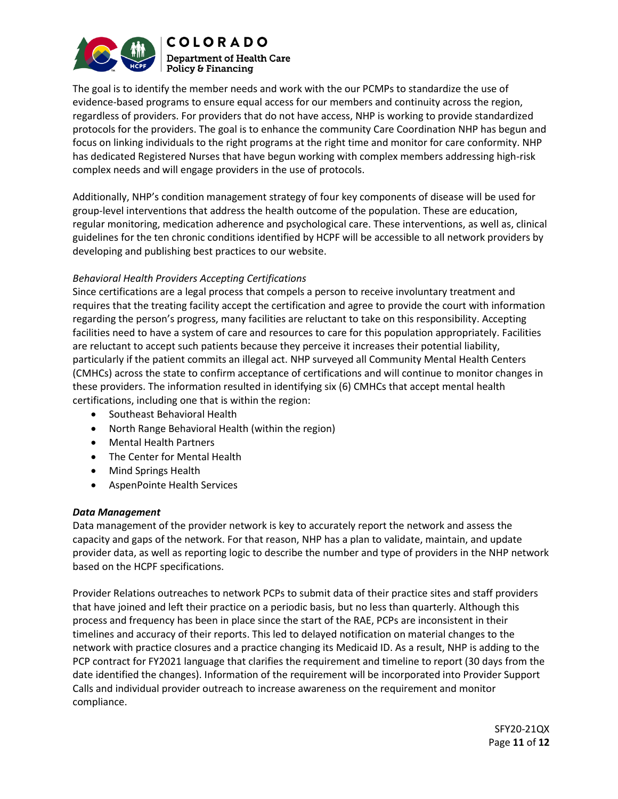

**COLORADO Department of Health Care**  $\mid$  Policy & Financing

The goal is to identify the member needs and work with the our PCMPs to standardize the use of evidence-based programs to ensure equal access for our members and continuity across the region, regardless of providers. For providers that do not have access, NHP is working to provide standardized protocols for the providers. The goal is to enhance the community Care Coordination NHP has begun and focus on linking individuals to the right programs at the right time and monitor for care conformity. NHP has dedicated Registered Nurses that have begun working with complex members addressing high-risk complex needs and will engage providers in the use of protocols.

Additionally, NHP's condition management strategy of four key components of disease will be used for group-level interventions that address the health outcome of the population. These are education, regular monitoring, medication adherence and psychological care. These interventions, as well as, clinical guidelines for the ten chronic conditions identified by HCPF will be accessible to all network providers by developing and publishing best practices to our website.

## *Behavioral Health Providers Accepting Certifications*

Since certifications are a legal process that compels a person to receive involuntary treatment and requires that the treating facility accept the certification and agree to provide the court with information regarding the person's progress, many facilities are reluctant to take on this responsibility. Accepting facilities need to have a system of care and resources to care for this population appropriately. Facilities are reluctant to accept such patients because they perceive it increases their potential liability, particularly if the patient commits an illegal act. NHP surveyed all Community Mental Health Centers (CMHCs) across the state to confirm acceptance of certifications and will continue to monitor changes in these providers. The information resulted in identifying six (6) CMHCs that accept mental health certifications, including one that is within the region:

- Southeast Behavioral Health
- North Range Behavioral Health (within the region)
- Mental Health Partners
- The Center for Mental Health
- Mind Springs Health
- AspenPointe Health Services

## *Data Management*

Data management of the provider network is key to accurately report the network and assess the capacity and gaps of the network. For that reason, NHP has a plan to validate, maintain, and update provider data, as well as reporting logic to describe the number and type of providers in the NHP network based on the HCPF specifications.

Provider Relations outreaches to network PCPs to submit data of their practice sites and staff providers that have joined and left their practice on a periodic basis, but no less than quarterly. Although this process and frequency has been in place since the start of the RAE, PCPs are inconsistent in their timelines and accuracy of their reports. This led to delayed notification on material changes to the network with practice closures and a practice changing its Medicaid ID. As a result, NHP is adding to the PCP contract for FY2021 language that clarifies the requirement and timeline to report (30 days from the date identified the changes). Information of the requirement will be incorporated into Provider Support Calls and individual provider outreach to increase awareness on the requirement and monitor compliance.